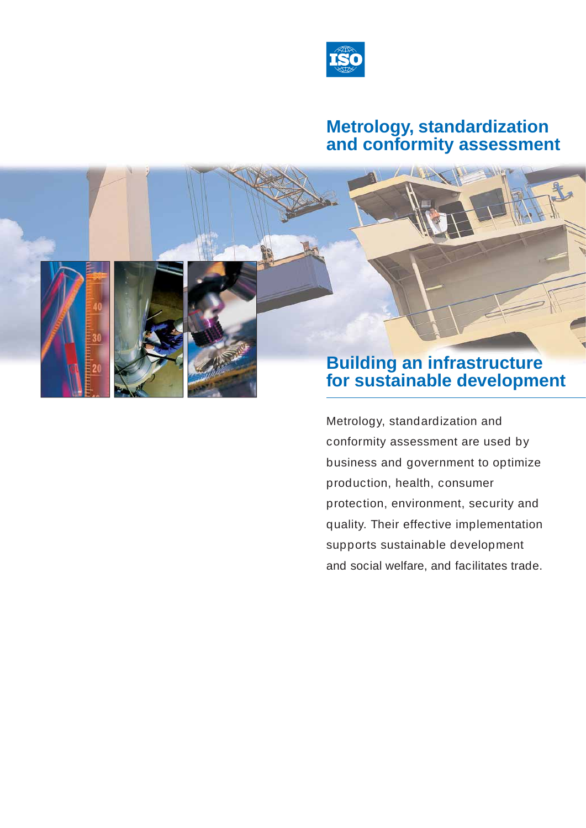

## **Metrology, standardization and conformity assessment**

# **Building an infrastructure for sustainable development**

Metrology, standardization and conformity assessment are used by business and government to optimize production, health, consumer protection, environment, security and quality. Their effective implementation supports sustainable development and social welfare, and facilitates trade.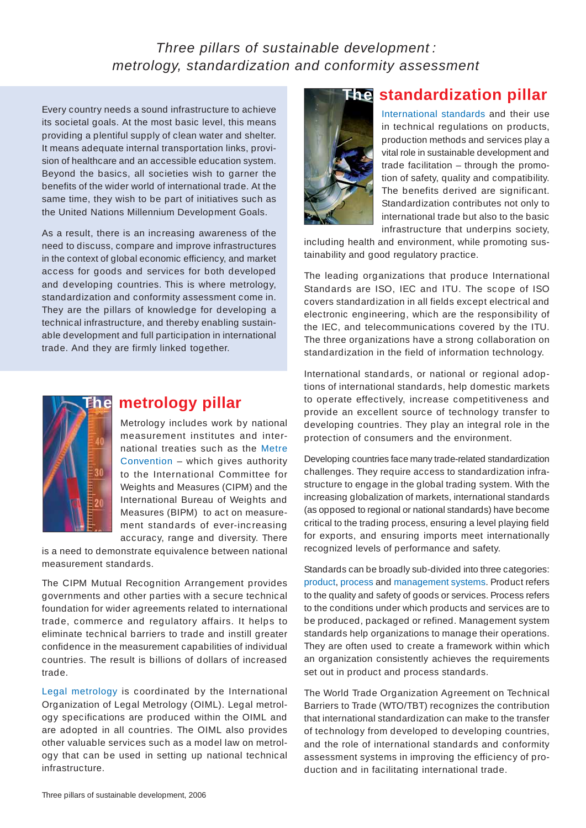## *Three pillars of sustainable development : metrology, standardization and conformity assessment*

Every country needs a sound infrastructure to achieve its societal goals. At the most basic level, this means providing a plentiful supply of clean water and shelter. It means adequate internal transportation links, provision of healthcare and an accessible education system. Beyond the basics, all societies wish to garner the benefits of the wider world of international trade. At the same time, they wish to be part of initiatives such as the United Nations Millennium Development Goals.

As a result, there is an increasing awareness of the need to discuss, compare and improve infrastructures in the context of global economic efficiency, and market access for goods and services for both developed and developing countries. This is where metrology, standardization and conformity assessment come in. They are the pillars of knowledge for developing a technical infrastructure, and thereby enabling sustainable development and full participation in international trade. And they are firmly linked together.



### **The metrology pillar**

Metrology includes work by national measurement institutes and international treaties such as the Metre Convention – which gives authority to the International Committee for Weights and Measures (CIPM) and the International Bureau of Weights and Measures (BIPM) to act on measurement standards of ever-increasing accuracy, range and diversity. There

is a need to demonstrate equivalence between national measurement standards.

The CIPM Mutual Recognition Arrangement provides governments and other parties with a secure technical foundation for wider agreements related to international trade, commerce and regulatory affairs. It helps to eliminate technical barriers to trade and instill greater confidence in the measurement capabilities of individual countries. The result is billions of dollars of increased trade.

Legal metrology is coordinated by the International Organization of Legal Metrology (OIML). Legal metrology specifications are produced within the OIML and are adopted in all countries. The OIML also provides other valuable services such as a model law on metrology that can be used in setting up national technical infrastructure.



## **The standardization pillar**

International standards and their use in technical regulations on products, production methods and services play a vital role in sustainable development and trade facilitation – through the promotion of safety, quality and compatibility. The benefits derived are significant. Standardization contributes not only to international trade but also to the basic infrastructure that underpins society,

including health and environment, while promoting sustainability and good regulatory practice.

The leading organizations that produce International Standards are ISO, IEC and ITU. The scope of ISO covers standardization in all fields except electrical and electronic engineering, which are the responsibility of the IEC, and telecommunications covered by the ITU. The three organizations have a strong collaboration on standardization in the field of information technology.

International standards, or national or regional adoptions of international standards, help domestic markets to operate effectively, increase competitiveness and provide an excellent source of technology transfer to developing countries. They play an integral role in the protection of consumers and the environment.

Developing countries face many trade-related standardization challenges. They require access to standardization infrastructure to engage in the global trading system. With the increasing globalization of markets, international standards (as opposed to regional or national standards) have become critical to the trading process, ensuring a level playing field for exports, and ensuring imports meet internationally recognized levels of performance and safety.

Standards can be broadly sub-divided into three categories: product, process and management systems. Product refers to the quality and safety of goods or services. Process refers to the conditions under which products and services are to be produced, packaged or refined. Management system standards help organizations to manage their operations. They are often used to create a framework within which an organization consistently achieves the requirements set out in product and process standards.

The World Trade Organization Agreement on Technical Barriers to Trade (WTO/TBT) recognizes the contribution that international standardization can make to the transfer of technology from developed to developing countries, and the role of international standards and conformity assessment systems in improving the efficiency of production and in facilitating international trade.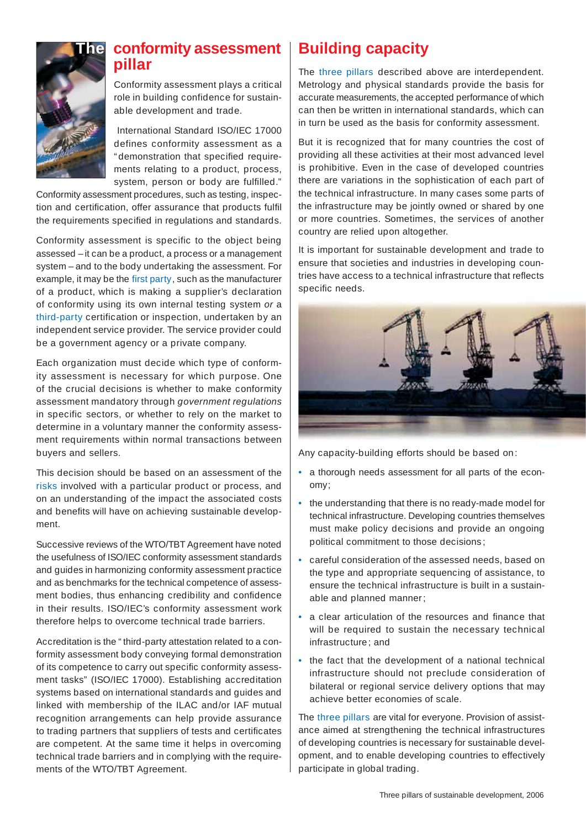

### **The conformity assessment** | Building capacity **pillar**

Conformity assessment plays a critical role in building confidence for sustainable development and trade.

 International Standard ISO/IEC 17000 defines conformity assessment as a " demonstration that specified requirements relating to a product, process, system, person or body are fulfilled."

Conformity assessment procedures, such as testing, inspection and certification, offer assurance that products fulfil the requirements specified in regulations and standards.

Conformity assessment is specific to the object being assessed – it can be a product, a process or a management system – and to the body undertaking the assessment. For example, it may be the first party , such as the manufacturer of a product, which is making a supplier's declaration of conformity using its own internal testing system *or* a third-party certification or inspection, undertaken by an independent service provider. The service provider could be a government agency or a private company.

Each organization must decide which type of conformity assessment is necessary for which purpose. One of the crucial decisions is whether to make conformity assessment mandatory through *government regulations*  in specific sectors, or whether to rely on the market to determine in a voluntary manner the conformity assessment requirements within normal transactions between buyers and sellers.

This decision should be based on an assessment of the risks involved with a particular product or process, and on an understanding of the impact the associated costs and benefits will have on achieving sustainable development.

Successive reviews of the WTO/TBT Agreement have noted the usefulness of ISO/IEC conformity assessment standards and guides in harmonizing conformity assessment practice and as benchmarks for the technical competence of assessment bodies, thus enhancing credibility and confidence in their results. ISO/IEC's conformity assessment work therefore helps to overcome technical trade barriers.

Accreditation is the " third-party attestation related to a conformity assessment body conveying formal demonstration of its competence to carry out specific conformity assessment tasks" (ISO/IEC 17000). Establishing accreditation systems based on international standards and guides and linked with membership of the ILAC and/or IAF mutual recognition arrangements can help provide assurance to trading partners that suppliers of tests and certificates are competent. At the same time it helps in overcoming technical trade barriers and in complying with the requirements of the WTO/TBT Agreement.

The three pillars described above are interdependent. Metrology and physical standards provide the basis for accurate measurements, the accepted performance of which can then be written in international standards, which can in turn be used as the basis for conformity assessment.

But it is recognized that for many countries the cost of providing all these activities at their most advanced level is prohibitive. Even in the case of developed countries there are variations in the sophistication of each part of the technical infrastructure. In many cases some parts of the infrastructure may be jointly owned or shared by one or more countries. Sometimes, the services of another country are relied upon altogether.

It is important for sustainable development and trade to ensure that societies and industries in developing countries have access to a technical infrastructure that reflects specific needs.



Any capacity-building efforts should be based on :

- a thorough needs assessment for all parts of the economy ;
- the understanding that there is no ready-made model for technical infrastructure. Developing countries themselves must make policy decisions and provide an ongoing political commitment to those decisions ;
- careful consideration of the assessed needs, based on the type and appropriate sequencing of assistance, to ensure the technical infrastructure is built in a sustainable and planned manner ;
- a clear articulation of the resources and finance that will be required to sustain the necessary technical infrastructure ; and
- the fact that the development of a national technical infrastructure should not preclude consideration of bilateral or regional service delivery options that may achieve better economies of scale.

The three pillars are vital for everyone. Provision of assistance aimed at strengthening the technical infrastructures of developing countries is necessary for sustainable development, and to enable developing countries to effectively participate in global trading.